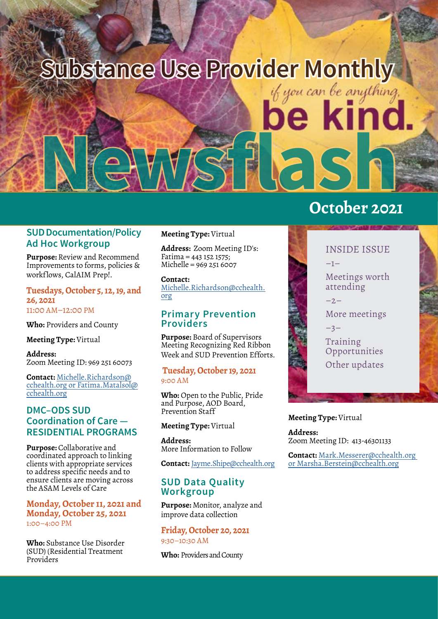

### **SUD Documentation/Policy Ad Hoc Workgroup**

**Purpose:** Review and Recommend Improvements to forms, policies & workflows, CalAIM Prep!.

## **Tuesdays, October 5, 12, 19, and 26, 2021**

11:00 AM–12:00 PM

**Who:** Providers and County

**Meeting Type:** Virtual

**Address:** Zoom Meeting ID: 969 251 60073

**Contact:** [Michelle.Richardson@](mailto:Michelle.Richardson%40cchealth.org?subject=Coordination%20of%20Care-%20Residential%20Programs) [cchealth.org](mailto:Michelle.Richardson%40cchealth.org?subject=Coordination%20of%20Care-%20Residential%20Programs) or [Fatima.Matalsol@](mailto:Fatima.Matalsol%40cchealth.org%20?subject=) [cchealth.org](mailto:Fatima.Matalsol%40cchealth.org%20?subject=)

### **DMC–ODS SUD Coordination of Care — RESIDENTIAL PROGRAMS**

**Purpose:** Collaborative and coordinated approach to linking [c](https://www.surveymonkey.com/r/3VC5QWP)lients with appropriate services to address specific needs and to ensure clients are moving across the ASAM Levels of Care

#### **Monday, October 11, 2021 and Monday, Oc[to](https://www.surveymonkey.com/r/3VC5QWP)ber 25, 2021** 1:00–4:00 PM

**Who:** Substance Use Disorder (SUD) (Residential Treatment Providers

#### **Meeting Type:** Virtual

**Address:** Zoom Meeting ID's: Fatima = 443 152 1575; Michelle = 969 251 6007

**Contact:** [Michelle.Richardson@cchealth.](mailto:Michelle.Richardson%40cchealth.org?subject=Coordination%20of%20Care-%20Residential%20Programs) [org](mailto:Michelle.Richardson%40cchealth.org?subject=Coordination%20of%20Care-%20Residential%20Programs)

### **Primary Pr[ev](https://www.surveymonkey.com/r/3VC5QWP)ention Providers**

**Purpose:** Board of Supervisors Meeting Recognizing Red Ribbon Week and SUD Prevention Efforts.

#### **Tuesday, October 19, 2021** 9:00 AM

**Who:** Open to the Public, Pride and Purpose, AOD Board, Prevention Staff

#### **Meeting Type:** Virtual

**Address:** More Information to Follow

**Contact:** [Jayme.Shipe@cchealth.org](mailto:Jayme.Shipe%40cchealth.org%20?subject=Primary%20Prevention%20Providers)

### **SUD Data Quality Workgroup**

**Purpose:** Monitor, analyze and improve data collection

**Friday, October 20, 2021** 9:30–10:30 AM

**Who:** Providers and County

# **October 2021**



#### **Meeting Type:** Virtual

**Address:** Zoom Meeting ID: 413-46301133

**Contact:** [Mark.Messerer@cchealth.org](mailto:Mark.Messerer%40cchealth.org?subject=SUD%20Data%20Quality%20Workgroup) or [Marsha.Berstein@cchealth.org](mailto:Marsha.Berstein%40cchealth.org?subject=SUD%20Data%20Quality%20Workgroup)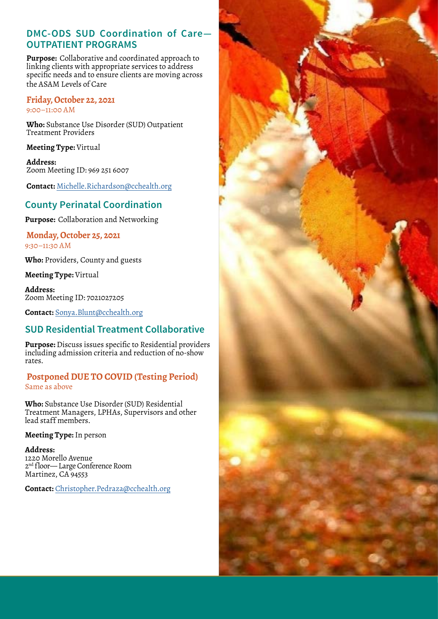## **DMC-ODS SUD Coordination of Care— OUTPATIENT PROGRAMS**

**Purpose:** Collaborative and coordinated approach to linking clients with appropriate services to address specific needs and to ensure clients are moving across the ASAM Levels of Care

#### **Friday, October 22, 2021** 9:00–11:00 AM

**Who:** Substance Use Disorder (SUD) Outpatient Treatment Providers

**Meeting Type:** Virtual

**Address:** Zoom Meeting ID: 969 251 6007

**Contact:** [Michelle.Richardson@cchealth.org](mailto:Michelle.Richardson%40cchealth.org?subject=DMC-ODS%20SUD%20Coordination%20of%20Care-Outpatient)

## **County Perinatal Coordination**

**Purpose:** Collaboration and Networking

### **Monday, October 25, 2021** 9:30–11:30 AM

**Who:** Providers, County and guests

**Meeting Type:** Virtual

**Address:** Zoom Meeting ID: 7021027205

**Contact:** [Sonya.Blunt@cchealth.org](mailto:Sonya.Blunt%40cchealth.org?subject=County%20Perinatal%20Coordination)

# **SUD Residential Treatment Collaborative**

**Purpose:** Discuss issues specific to Residential providers including admission criteria and reduction of no-show rates.

### **Postponed DUE TO COVID (Testing Period)** Same as above

**Who:** Substance Use Disorder (SUD) Residential Treatment Managers, LPHAs, Supervisors and other lead staff members.

### **Meeting Type:** In person

**Address:** 1220 Morello Avenue 2<sup>nd</sup> floor—Large Conference Room Martinez, CA 94553

**Contact:** [Christopher.Pedraza@cchealth.org](mailto:Christopher.pedraza%40cchealth.org?subject=SUD%20Residential%20Treatment%20Collaborative)